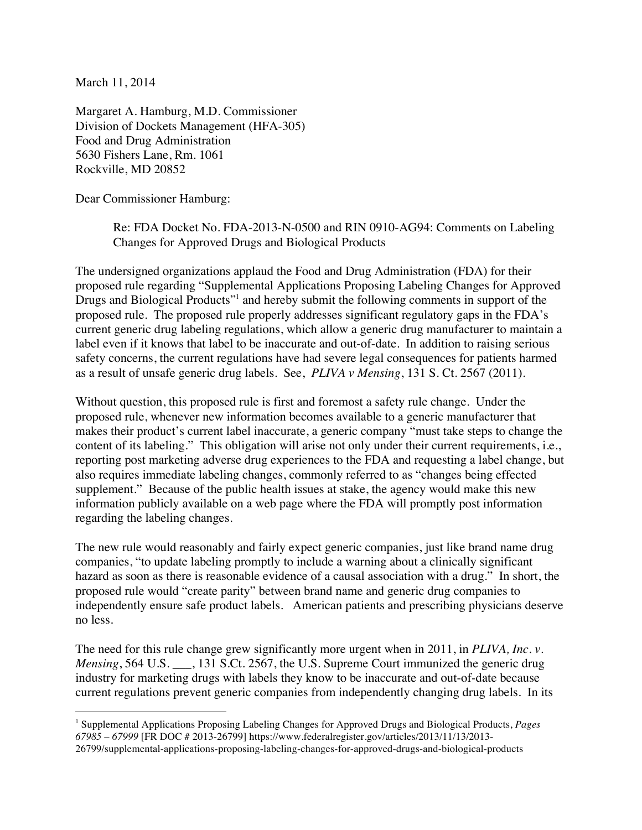March 11, 2014

Margaret A. Hamburg, M.D. Commissioner Division of Dockets Management (HFA-305) Food and Drug Administration 5630 Fishers Lane, Rm. 1061 Rockville, MD 20852

Dear Commissioner Hamburg:

Re: FDA Docket No. FDA-2013-N-0500 and RIN 0910-AG94: Comments on Labeling Changes for Approved Drugs and Biological Products

The undersigned organizations applaud the Food and Drug Administration (FDA) for their proposed rule regarding "Supplemental Applications Proposing Labeling Changes for Approved Drugs and Biological Products<sup>"1</sup> and hereby submit the following comments in support of the proposed rule. The proposed rule properly addresses significant regulatory gaps in the FDA's current generic drug labeling regulations, which allow a generic drug manufacturer to maintain a label even if it knows that label to be inaccurate and out-of-date. In addition to raising serious safety concerns, the current regulations have had severe legal consequences for patients harmed as a result of unsafe generic drug labels. See, *PLIVA v Mensing*, 131 S. Ct. 2567 (2011).

Without question, this proposed rule is first and foremost a safety rule change. Under the proposed rule, whenever new information becomes available to a generic manufacturer that makes their product's current label inaccurate, a generic company "must take steps to change the content of its labeling." This obligation will arise not only under their current requirements, i.e., reporting post marketing adverse drug experiences to the FDA and requesting a label change, but also requires immediate labeling changes, commonly referred to as "changes being effected supplement." Because of the public health issues at stake, the agency would make this new information publicly available on a web page where the FDA will promptly post information regarding the labeling changes.

The new rule would reasonably and fairly expect generic companies, just like brand name drug companies, "to update labeling promptly to include a warning about a clinically significant hazard as soon as there is reasonable evidence of a causal association with a drug." In short, the proposed rule would "create parity" between brand name and generic drug companies to independently ensure safe product labels. American patients and prescribing physicians deserve no less.

The need for this rule change grew significantly more urgent when in 2011, in *PLIVA, Inc. v. Mensing*, 564 U.S.  $\qquad$ , 131 S.Ct. 2567, the U.S. Supreme Court immunized the generic drug industry for marketing drugs with labels they know to be inaccurate and out-of-date because current regulations prevent generic companies from independently changing drug labels. In its

 <sup>1</sup> Supplemental Applications Proposing Labeling Changes for Approved Drugs and Biological Products, *Pages 67985 – 67999* [FR DOC # 2013-26799] https://www.federalregister.gov/articles/2013/11/13/2013- 26799/supplemental-applications-proposing-labeling-changes-for-approved-drugs-and-biological-products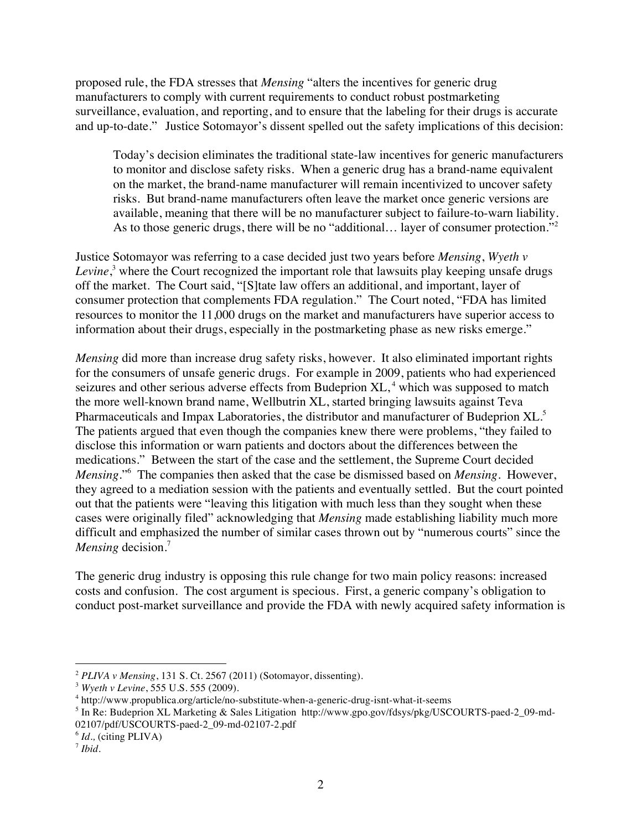proposed rule, the FDA stresses that *Mensing* "alters the incentives for generic drug manufacturers to comply with current requirements to conduct robust postmarketing surveillance, evaluation, and reporting, and to ensure that the labeling for their drugs is accurate and up-to-date." Justice Sotomayor's dissent spelled out the safety implications of this decision:

Today's decision eliminates the traditional state-law incentives for generic manufacturers to monitor and disclose safety risks. When a generic drug has a brand-name equivalent on the market, the brand-name manufacturer will remain incentivized to uncover safety risks. But brand-name manufacturers often leave the market once generic versions are available, meaning that there will be no manufacturer subject to failure-to-warn liability. As to those generic drugs, there will be no "additional... layer of consumer protection."<sup>2</sup>

Justice Sotomayor was referring to a case decided just two years before *Mensing*, *Wyeth v Levine*, <sup>3</sup> where the Court recognized the important role that lawsuits play keeping unsafe drugs off the market. The Court said, "[S]tate law offers an additional, and important, layer of consumer protection that complements FDA regulation." The Court noted, "FDA has limited resources to monitor the 11,000 drugs on the market and manufacturers have superior access to information about their drugs, especially in the postmarketing phase as new risks emerge."

*Mensing* did more than increase drug safety risks, however. It also eliminated important rights for the consumers of unsafe generic drugs. For example in 2009, patients who had experienced seizures and other serious adverse effects from Budeprion XL,<sup>4</sup> which was supposed to match the more well-known brand name, Wellbutrin XL, started bringing lawsuits against Teva Pharmaceuticals and Impax Laboratories, the distributor and manufacturer of Budeprion XL.<sup>5</sup> The patients argued that even though the companies knew there were problems, "they failed to disclose this information or warn patients and doctors about the differences between the medications." Between the start of the case and the settlement, the Supreme Court decided *Mensing*."<sup>6</sup> The companies then asked that the case be dismissed based on *Mensing*. However, they agreed to a mediation session with the patients and eventually settled. But the court pointed out that the patients were "leaving this litigation with much less than they sought when these cases were originally filed" acknowledging that *Mensing* made establishing liability much more difficult and emphasized the number of similar cases thrown out by "numerous courts" since the *Mensing* decision.<sup>7</sup>

The generic drug industry is opposing this rule change for two main policy reasons: increased costs and confusion. The cost argument is specious. First, a generic company's obligation to conduct post-market surveillance and provide the FDA with newly acquired safety information is

 <sup>2</sup> *PLIVA v Mensing*, 131 S. Ct. 2567 (2011) (Sotomayor, dissenting).

<sup>3</sup> *Wyeth v Levine*, 555 U.S. 555 (2009).

<sup>4</sup> http://www.propublica.org/article/no-substitute-when-a-generic-drug-isnt-what-it-seems

<sup>5</sup> In Re: Budeprion XL Marketing & Sales Litigation http://www.gpo.gov/fdsys/pkg/USCOURTS-paed-2\_09-md-02107/pdf/USCOURTS-paed-2\_09-md-02107-2.pdf

<sup>6</sup> *Id.,* (citing PLIVA)

<sup>7</sup> *Ibid*.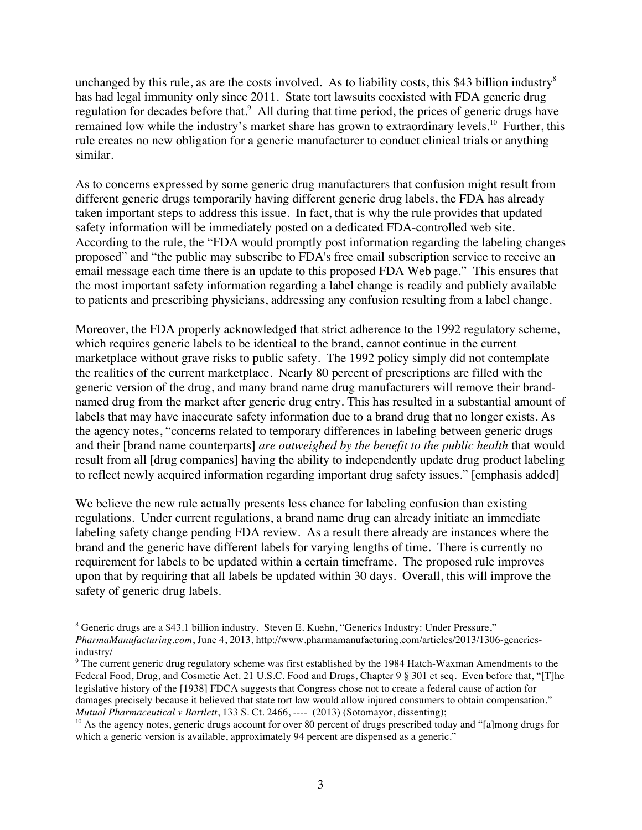unchanged by this rule, as are the costs involved. As to liability costs, this \$43 billion industry<sup>8</sup> has had legal immunity only since 2011. State tort lawsuits coexisted with FDA generic drug regulation for decades before that.<sup>9</sup> All during that time period, the prices of generic drugs have remained low while the industry's market share has grown to extraordinary levels.<sup>10</sup> Further, this rule creates no new obligation for a generic manufacturer to conduct clinical trials or anything similar.

As to concerns expressed by some generic drug manufacturers that confusion might result from different generic drugs temporarily having different generic drug labels, the FDA has already taken important steps to address this issue. In fact, that is why the rule provides that updated safety information will be immediately posted on a dedicated FDA-controlled web site. According to the rule, the "FDA would promptly post information regarding the labeling changes proposed" and "the public may subscribe to FDA's free email subscription service to receive an email message each time there is an update to this proposed FDA Web page." This ensures that the most important safety information regarding a label change is readily and publicly available to patients and prescribing physicians, addressing any confusion resulting from a label change.

Moreover, the FDA properly acknowledged that strict adherence to the 1992 regulatory scheme, which requires generic labels to be identical to the brand, cannot continue in the current marketplace without grave risks to public safety. The 1992 policy simply did not contemplate the realities of the current marketplace. Nearly 80 percent of prescriptions are filled with the generic version of the drug, and many brand name drug manufacturers will remove their brandnamed drug from the market after generic drug entry. This has resulted in a substantial amount of labels that may have inaccurate safety information due to a brand drug that no longer exists. As the agency notes, "concerns related to temporary differences in labeling between generic drugs and their [brand name counterparts] *are outweighed by the benefit to the public health* that would result from all [drug companies] having the ability to independently update drug product labeling to reflect newly acquired information regarding important drug safety issues." [emphasis added]

We believe the new rule actually presents less chance for labeling confusion than existing regulations. Under current regulations, a brand name drug can already initiate an immediate labeling safety change pending FDA review. As a result there already are instances where the brand and the generic have different labels for varying lengths of time. There is currently no requirement for labels to be updated within a certain timeframe. The proposed rule improves upon that by requiring that all labels be updated within 30 days. Overall, this will improve the safety of generic drug labels.

 <sup>8</sup> Generic drugs are a \$43.1 billion industry. Steven E. Kuehn, "Generics Industry: Under Pressure," *PharmaManufacturing.com*, June 4, 2013, http://www.pharmamanufacturing.com/articles/2013/1306-genericsindustry/

<sup>9</sup> The current generic drug regulatory scheme was first established by the 1984 Hatch-Waxman Amendments to the Federal Food, Drug, and Cosmetic Act. 21 U.S.C. Food and Drugs, Chapter 9 § 301 et seq. Even before that, "[T]he legislative history of the [1938] FDCA suggests that Congress chose not to create a federal cause of action for damages precisely because it believed that state tort law would allow injured consumers to obtain compensation." *Mutual Pharmaceutical v Bartlett*, 133 S. Ct. 2466, ---- (2013) (Sotomayor, dissenting);

 $10$  As the agency notes, generic drugs account for over 80 percent of drugs prescribed today and "[a]mong drugs for which a generic version is available, approximately 94 percent are dispensed as a generic."